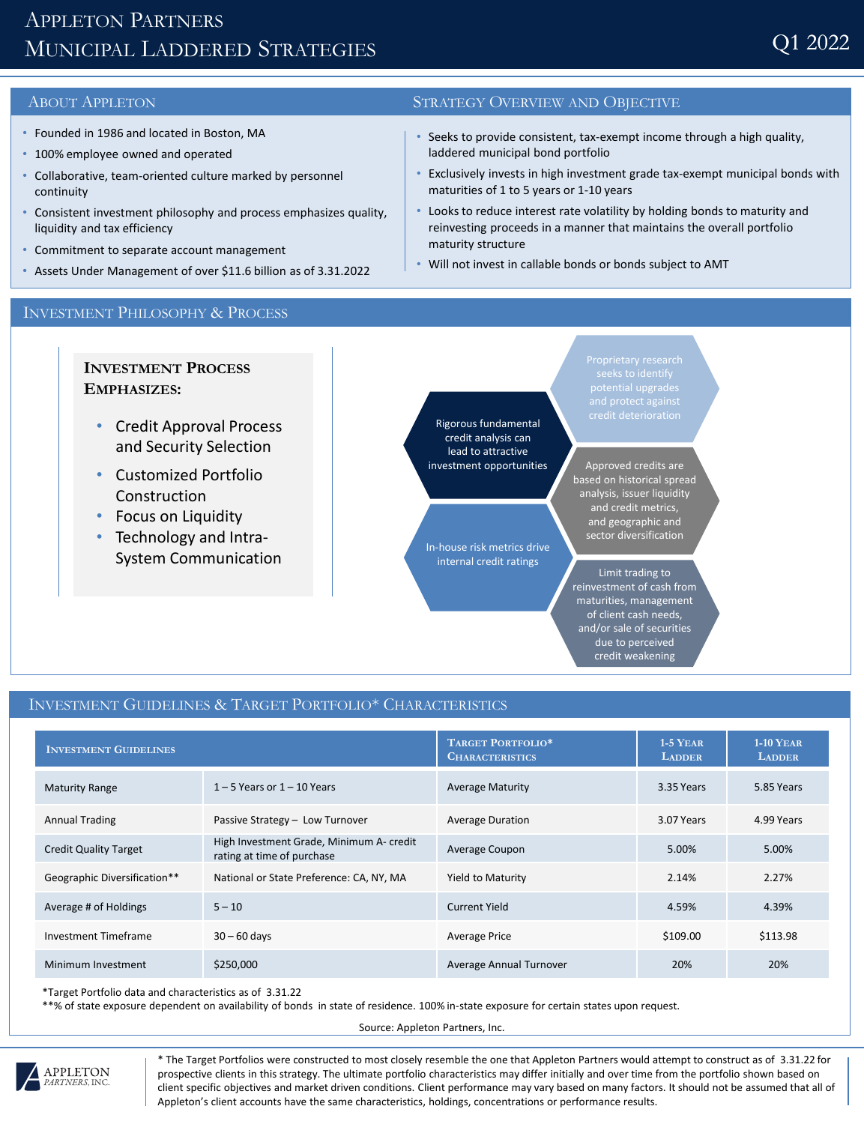# APPLETON PARTNERS MUNICIPAL LADDERED STRATEGIES

- Founded in 1986 and located in Boston, MA
- 100% employee owned and operated
- Collaborative, team-oriented culture marked by personnel continuity
- Consistent investment philosophy and process emphasizes quality, liquidity and tax efficiency
- Commitment to separate account management
- Assets Under Management of over \$11.6 billion as of 3.31.2022

## ABOUT APPLETON STRATEGY OVERVIEW AND OBJECTIVE

- Seeks to provide consistent, tax-exempt income through a high quality, laddered municipal bond portfolio
- Exclusively invests in high investment grade tax-exempt municipal bonds with maturities of 1 to 5 years or 1-10 years
- Looks to reduce interest rate volatility by holding bonds to maturity and reinvesting proceeds in a manner that maintains the overall portfolio maturity structure
- Will not invest in callable bonds or bonds subject to AMT

## INVESTMENT PHILOSOPHY & PROCESS

**INVESTMENT PROCESS EMPHASIZES:**

- Credit Approval Process and Security Selection
- Customized Portfolio Construction
- Focus on Liquidity
- Technology and Intra-System Communication

Rigorous fundamental credit analysis can lead to attractive investment opportunities

In-house risk metrics drive internal credit ratings

credit deterioration

Approved credits are based on historical spread analysis, issuer liquidity and credit metrics, and geographic and sector diversification

Limit trading to reinvestment of cash from maturities, management of client cash needs, and/or sale of securities due to perceived credit weakening

## INVESTMENT GUIDELINES & TARGET PORTFOLIO\* CHARACTERISTICS

| <b>INVESTMENT GUIDELINES</b> |                                                                        | TARGET PORTFOLIO*<br><b>CHARACTERISTICS</b> | $1-5$ YEAR<br><b>LADDER</b> | $1-10$ YEAR<br><b>LADDER</b> |
|------------------------------|------------------------------------------------------------------------|---------------------------------------------|-----------------------------|------------------------------|
| <b>Maturity Range</b>        | $1 - 5$ Years or $1 - 10$ Years                                        | <b>Average Maturity</b>                     | 3.35 Years                  | 5.85 Years                   |
| <b>Annual Trading</b>        | Passive Strategy - Low Turnover                                        | <b>Average Duration</b>                     | 3.07 Years                  | 4.99 Years                   |
| <b>Credit Quality Target</b> | High Investment Grade, Minimum A- credit<br>rating at time of purchase | Average Coupon                              | 5.00%                       | 5.00%                        |
| Geographic Diversification** | National or State Preference: CA, NY, MA                               | Yield to Maturity                           | 2.14%                       | 2.27%                        |
| Average # of Holdings        | $5 - 10$                                                               | <b>Current Yield</b>                        | 4.59%                       | 4.39%                        |
| Investment Timeframe         | $30 - 60$ days                                                         | <b>Average Price</b>                        | \$109.00                    | \$113.98                     |
| Minimum Investment           | \$250,000                                                              | Average Annual Turnover                     | 20%                         | 20%                          |

\*Target Portfolio data and characteristics as of 3.31.22

\*\*% of state exposure dependent on availability of bonds in state of residence. 100% in-state exposure for certain states upon request.

Source: Appleton Partners, Inc.



\* The Target Portfolios were constructed to most closely resemble the one that Appleton Partners would attempt to construct as of 3.31.22 for prospective clients in this strategy. The ultimate portfolio characteristics may differ initially and over time from the portfolio shown based on client specific objectives and market driven conditions. Client performance may vary based on many factors. It should not be assumed that all of Appleton's client accounts have the same characteristics, holdings, concentrations or performance results.